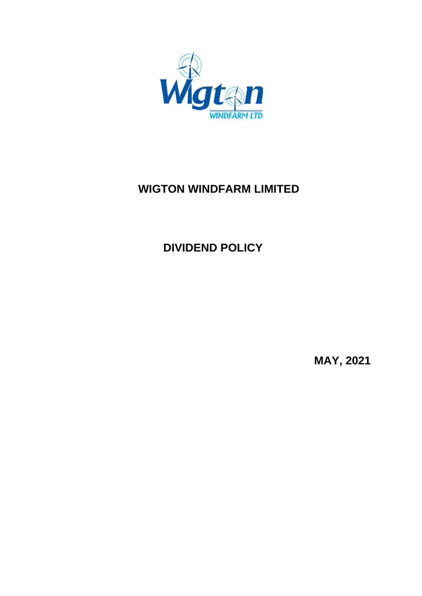

# **WIGTON WINDFARM LIMITED**

# **DIVIDEND POLICY**

**MAY, 2021**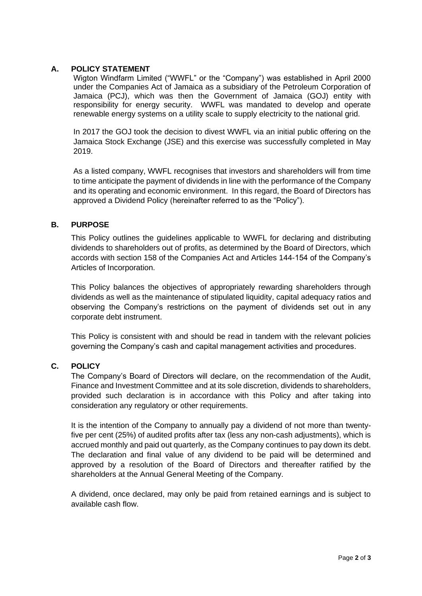### **A. POLICY STATEMENT**

Wigton Windfarm Limited ("WWFL" or the "Company") was established in April 2000 under the Companies Act of Jamaica as a subsidiary of the Petroleum Corporation of Jamaica (PCJ), which was then the Government of Jamaica (GOJ) entity with responsibility for energy security. WWFL was mandated to develop and operate renewable energy systems on a utility scale to supply electricity to the national grid.

In 2017 the GOJ took the decision to divest WWFL via an initial public offering on the Jamaica Stock Exchange (JSE) and this exercise was successfully completed in May 2019.

As a listed company, WWFL recognises that investors and shareholders will from time to time anticipate the payment of dividends in line with the performance of the Company and its operating and economic environment. In this regard, the Board of Directors has approved a Dividend Policy (hereinafter referred to as the "Policy").

#### **B. PURPOSE**

This Policy outlines the guidelines applicable to WWFL for declaring and distributing dividends to shareholders out of profits, as determined by the Board of Directors, which accords with section 158 of the Companies Act and Articles 144-154 of the Company's Articles of Incorporation.

This Policy balances the objectives of appropriately rewarding shareholders through dividends as well as the maintenance of stipulated liquidity, capital adequacy ratios and observing the Company's restrictions on the payment of dividends set out in any corporate debt instrument.

This Policy is consistent with and should be read in tandem with the relevant policies governing the Company's cash and capital management activities and procedures.

## **C. POLICY**

The Company's Board of Directors will declare, on the recommendation of the Audit, Finance and Investment Committee and at its sole discretion, dividends to shareholders, provided such declaration is in accordance with this Policy and after taking into consideration any regulatory or other requirements.

It is the intention of the Company to annually pay a dividend of not more than twentyfive per cent (25%) of audited profits after tax (less any non-cash adjustments), which is accrued monthly and paid out quarterly, as the Company continues to pay down its debt. The declaration and final value of any dividend to be paid will be determined and approved by a resolution of the Board of Directors and thereafter ratified by the shareholders at the Annual General Meeting of the Company.

A dividend, once declared, may only be paid from retained earnings and is subject to available cash flow.